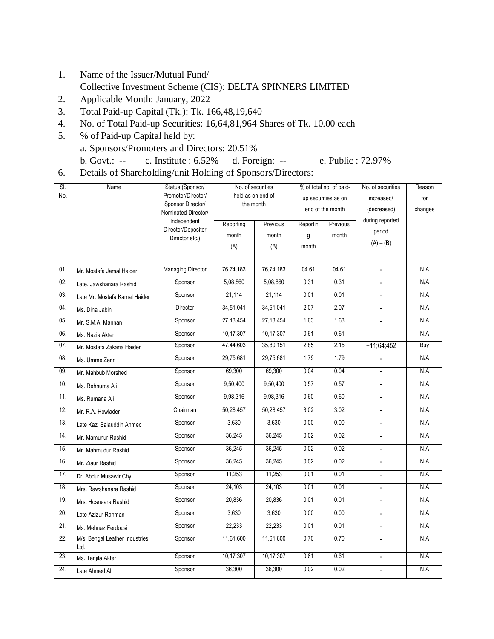- 1. Name of the Issuer/Mutual Fund/ Collective Investment Scheme (CIS): DELTA SPINNERS LIMITED
- 2. Applicable Month: January, 2022
- 3. Total Paid-up Capital (Tk.): Tk. 166,48,19,640
- 4. No. of Total Paid-up Securities: 16,64,81,964 Shares of Tk. 10.00 each
- 5. % of Paid-up Capital held by: a. Sponsors/Promoters and Directors: 20.51%
	- b. Govt.: -- c. Institute : 6.52% d. Foreign: -- e. Public : 72.97%
- 6. Details of Shareholding/unit Holding of Sponsors/Directors:

| SI. | Name                                   | Status (Sponsor/                         | No. of securities     |             | % of total no. of paid- |       | No. of securities        | Reason  |
|-----|----------------------------------------|------------------------------------------|-----------------------|-------------|-------------------------|-------|--------------------------|---------|
| No. |                                        | Promoter/Director/                       | held as on end of     |             | up securities as on     |       | increased/               | for     |
|     |                                        | Sponsor Director/<br>Nominated Director/ | the month             |             | end of the month        |       | (decreased)              | changes |
|     |                                        | Independent                              | Reporting<br>Previous |             | Reportin<br>Previous    |       | during reported          |         |
|     |                                        | Director/Depositor                       | month                 | month       | g                       | month | period                   |         |
|     |                                        | Director etc.)                           | (A)                   | (B)         | month                   |       | $(A) - (B)$              |         |
|     |                                        |                                          |                       |             |                         |       |                          |         |
| 01. | Mr. Mostafa Jamal Haider               | <b>Managing Director</b>                 | 76,74,183             | 76,74,183   | 04.61                   | 04.61 | $\overline{\phantom{a}}$ | N.A     |
| 02. | Late. Jawshanara Rashid                | Sponsor                                  | 5,08,860              | 5,08,860    | 0.31                    | 0.31  |                          | N/A     |
| 03. | Late Mr. Mostafa Kamal Haider          | Sponsor                                  | 21,114                | 21,114      | 0.01                    | 0.01  | $\overline{\phantom{a}}$ | N.A     |
| 04. | Ms. Dina Jabin                         | Director                                 | 34,51,041             | 34,51,041   | 2.07                    | 2.07  |                          | N.A     |
| 05. | Mr. S.M.A. Mannan                      | Sponsor                                  | 27, 13, 454           | 27, 13, 454 | 1.63                    | 1.63  | $\blacksquare$           | N.A     |
| 06. | Ms. Nazia Akter                        | Sponsor                                  | 10,17,307             | 10,17,307   | 0.61                    | 0.61  |                          | N.A     |
| 07. | Mr. Mostafa Zakaria Haider             | Sponsor                                  | 47,44,603             | 35,80,151   | 2.85                    | 2.15  | $+11;64;452$             | Buy     |
| 08. | Ms. Umme Zarin                         | Sponsor                                  | 29,75,681             | 29,75,681   | 1.79                    | 1.79  |                          | N/A     |
| 09. | Mr. Mahbub Morshed                     | Sponsor                                  | 69,300                | 69,300      | 0.04                    | 0.04  | $\overline{a}$           | N.A     |
| 10. | Ms. Rehnuma Ali                        | Sponsor                                  | 9,50,400              | 9,50,400    | 0.57                    | 0.57  | $\overline{\phantom{a}}$ | N.A     |
| 11. | Ms. Rumana Ali                         | Sponsor                                  | 9,98,316              | 9,98,316    | 0.60                    | 0.60  | $\overline{\phantom{a}}$ | N.A     |
| 12. | Mr. R.A. Howlader                      | Chairman                                 | 50,28,457             | 50,28,457   | 3.02                    | 3.02  | $\overline{\phantom{a}}$ | N.A     |
| 13. | Late Kazi Salauddin Ahmed              | Sponsor                                  | 3,630                 | 3,630       | 0.00                    | 0.00  | $\blacksquare$           | N.A     |
| 14. | Mr. Mamunur Rashid                     | Sponsor                                  | 36,245                | 36,245      | 0.02                    | 0.02  |                          | N.A     |
| 15. | Mr. Mahmudur Rashid                    | Sponsor                                  | 36,245                | 36,245      | 0.02                    | 0.02  | $\blacksquare$           | N.A     |
| 16. | Mr. Ziaur Rashid                       | Sponsor                                  | 36,245                | 36,245      | 0.02                    | 0.02  | $\overline{a}$           | N.A     |
| 17. | Dr. Abdur Musawir Chy.                 | Sponsor                                  | 11,253                | 11,253      | 0.01                    | 0.01  | $\overline{a}$           | N.A     |
| 18. | Mrs. Rawshanara Rashid                 | Sponsor                                  | 24,103                | 24,103      | 0.01                    | 0.01  | $\blacksquare$           | N.A     |
| 19. | Mrs. Hosneara Rashid                   | Sponsor                                  | 20,836                | 20,836      | 0.01                    | 0.01  | $\overline{\phantom{a}}$ | N.A     |
| 20. | Late Azizur Rahman                     | Sponsor                                  | 3,630                 | 3,630       | 0.00                    | 0.00  | $\overline{\phantom{a}}$ | N.A     |
| 21. | Ms. Mehnaz Ferdousi                    | Sponsor                                  | 22,233                | 22,233      | 0.01                    | 0.01  |                          | N.A     |
| 22. | M/s. Bengal Leather Industries<br>Ltd. | Sponsor                                  | 11,61,600             | 11,61,600   | 0.70                    | 0.70  | $\overline{\phantom{a}}$ | N.A     |
| 23. | Ms. Tanjila Akter                      | Sponsor                                  | 10,17,307             | 10,17,307   | 0.61                    | 0.61  | $\overline{\phantom{a}}$ | N.A     |
| 24. | Late Ahmed Ali                         | Sponsor                                  | 36,300                | 36,300      | 0.02                    | 0.02  | $\overline{a}$           | N.A     |